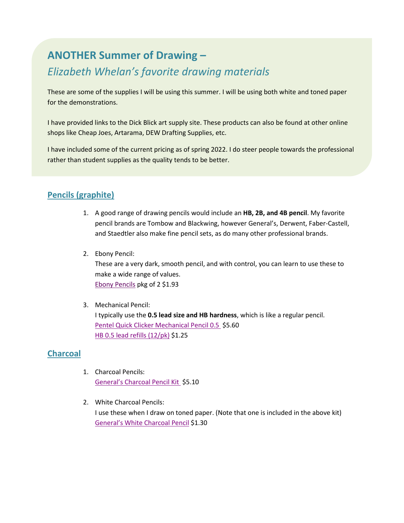# **ANOTHER Summer of Drawing –** *Elizabeth Whelan's favorite drawing materials*

These are some of the supplies I will be using this summer. I will be using both white and toned paper for the demonstrations.

I have provided links to the Dick Blick art supply site. These products can also be found at other online shops like Cheap Joes, Artarama, DEW Drafting Supplies, etc.

I have included some of the current pricing as of spring 2022. I do steer people towards the professional rather than student supplies as the quality tends to be better.

## **Pencils (graphite)**

- 1. A good range of drawing pencils would include an **HB, 2B, and 4B pencil**. My favorite pencil brands are Tombow and Blackwing, however General's, Derwent, Faber-Castell, and Staedtler also make fine pencil sets, as do many other professional brands.
- 2. Ebony Pencil:

These are a very dark, smooth pencil, and with control, you can learn to use these to make a wide range of values. [Ebony Pencils](https://www.dickblick.com/products/prismacolor-ebony-pencil-sets/) pkg of 2 \$1.93

3. Mechanical Pencil: I typically use the **0.5 lead size and HB hardness**, which is like a regular pencil. [Pentel Quick Clicker Mechanical Pencil](https://www.dickblick.com/products/pentel-quicker-clicker-automatic-pencil/) 0.5 \$5.60 HB 0.5 [lead refills \(12/pk\)](https://www.dickblick.com/items/pentel-graph-gear-1000-lead-refill-05-mm-black-hb-pack-of-12/) \$1.25

### **Charcoal**

- 1. Charcoal Pencils: [General's Charcoal Pencil Kit](https://www.dickblick.com/items/generals-charcoal-pencil-kit/) \$5.10
- 2. White Charcoal Pencils: I use these when I draw on toned paper. (Note that one is included in the above kit) [General's White Charcoal Pencil](https://www.dickblick.com/items/generals-charcoal-pencil-white/) \$1.30